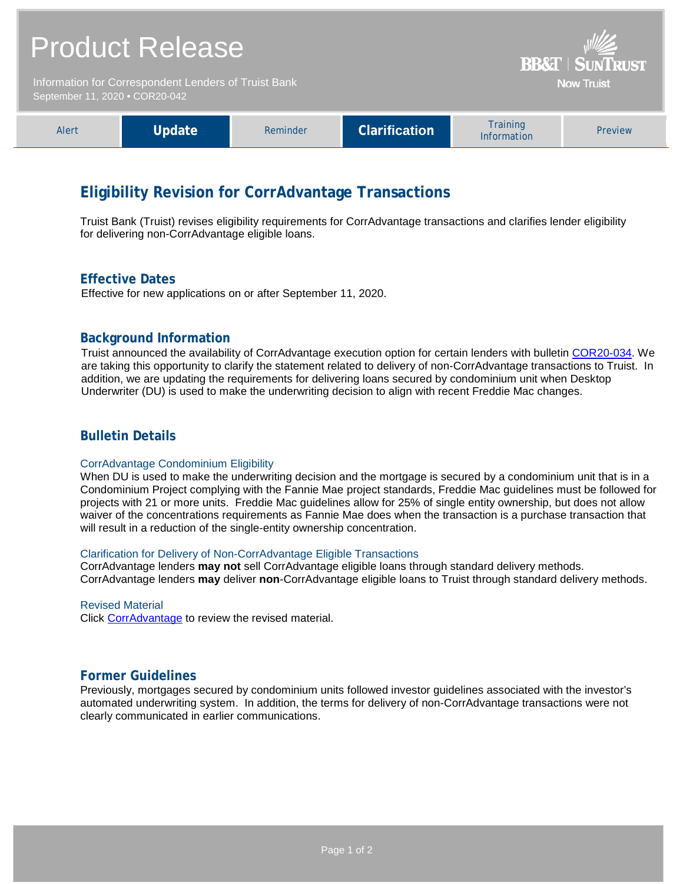| <b>Product Release</b><br>Information for Correspondent Lenders of Truist Bank<br>September 11, 2020 . COR20-042 |        |          |                      | <b>BB&amp;T   SUNTRUST</b><br><b>Now Truist</b> |         |
|------------------------------------------------------------------------------------------------------------------|--------|----------|----------------------|-------------------------------------------------|---------|
|                                                                                                                  |        |          |                      |                                                 |         |
| Alert                                                                                                            | Update | Reminder | <b>Clarification</b> | Training<br>Information                         | Preview |

# **Eligibility Revision for CorrAdvantage Transactions**

Truist Bank (Truist) revises eligibility requirements for CorrAdvantage transactions and clarifies lender eligibility for delivering non-CorrAdvantage eligible loans.

### **Effective Dates**

Effective for new applications on or after September 11, 2020.

### **Background Information**

Truist announced the availability of CorrAdvantage execution option for certain lenders with bulletin [COR20-034.](https://www.truistsellerguide.com/Manual/cor/bulletins/archive/Cr20-034.pdf) We are taking this opportunity to clarify the statement related to delivery of non-CorrAdvantage transactions to Truist. In addition, we are updating the requirements for delivering loans secured by condominium unit when Desktop Underwriter (DU) is used to make the underwriting decision to align with recent Freddie Mac changes.

### **Bulletin Details**

#### CorrAdvantage Condominium Eligibility

When DU is used to make the underwriting decision and the mortgage is secured by a condominium unit that is in a Condominium Project complying with the Fannie Mae project standards, Freddie Mac guidelines must be followed for projects with 21 or more units. Freddie Mac guidelines allow for 25% of single entity ownership, but does not allow waiver of the concentrations requirements as Fannie Mae does when the transaction is a purchase transaction that will result in a reduction of the single-entity ownership concentration.

#### Clarification for Delivery of Non-CorrAdvantage Eligible Transactions

CorrAdvantage lenders **may not** sell CorrAdvantage eligible loans through standard delivery methods. CorrAdvantage lenders **may** deliver **non**-CorrAdvantage eligible loans to Truist through standard delivery methods.

#### Revised Material

Click [CorrAdvantage](https://www.truistsellerguide.com/Manual/cor/products/CorrAdvantage.pdf) to review the revised material.

# **Former Guidelines**

Previously, mortgages secured by condominium units followed investor guidelines associated with the investor's automated underwriting system. In addition, the terms for delivery of non-CorrAdvantage transactions were not clearly communicated in earlier communications.